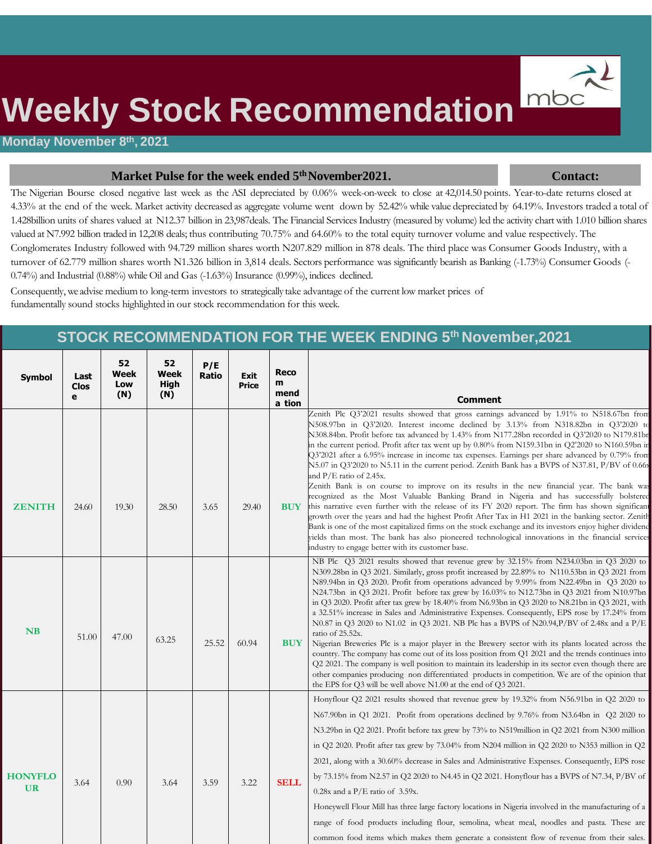

# **Weekly Stock Recommendation**

#### **Monday November 8th, 2021**

#### **Market Pulse for the week ended 5<sup>th</sup> November2021. Contact: Contact:**

The Nigerian Bourse closed negative last week as the ASI depreciated by 0.06% week-on-week to close at 42,014.50 points. Year-to-date returns closed at 4.33% at the end of the week. Market activity decreased as aggregate volume went down by 52.42% while value depreciated by 64.19%. Investors traded a total of 1.428billion units of shares valued at N12.37 billion in 23,987deals. The Financial Services Industry (measured by volume) led the activity chart with 1.010 billion shares valued at N7.992 billion traded in 12,208 deals; thus contributing 70.75% and 64.60% to the total equity turnover volume and value respectively. The Conglomerates Industry followed with 94.729 million shares worth N207.829 million in 878 deals. The third place was Consumer Goods Industry, with a turnover of 62.779 million shares worth N1.326 billion in 3,814 deals. Sectors performance was significantly bearish as Banking (-1.73%) Consumer Goods (-0.74%) and Industrial (0.88%) while Oil and Gas (-1.63%) Insurance (0.99%), indices declined.

Consequently, we advise medium to long-term investors to strategically take advantage of the current low market prices of fundamentally sound stocks highlighted in our stock recommendation for this week.

#### **STOCK RECOMMENDATION FOR THE WEEK ENDING 5 th November,2021**

| <b>Symbol</b>               | Last<br><b>Clos</b><br>e | 52<br>Week<br>Low<br>(N) | 52<br>Week<br>High<br>(N) | P/E<br><b>Ratio</b> | Exit<br>Price | Reco<br>m<br>mend<br>a tion | <b>Comment</b>                                                                                                                                                                                                                                                                                                                                                                                                                                                                                                                                                                                                                                                                                                                                                                                                                                                                                                                                                                                                                                                                                                                                                                                                                                                                                              |
|-----------------------------|--------------------------|--------------------------|---------------------------|---------------------|---------------|-----------------------------|-------------------------------------------------------------------------------------------------------------------------------------------------------------------------------------------------------------------------------------------------------------------------------------------------------------------------------------------------------------------------------------------------------------------------------------------------------------------------------------------------------------------------------------------------------------------------------------------------------------------------------------------------------------------------------------------------------------------------------------------------------------------------------------------------------------------------------------------------------------------------------------------------------------------------------------------------------------------------------------------------------------------------------------------------------------------------------------------------------------------------------------------------------------------------------------------------------------------------------------------------------------------------------------------------------------|
| <b>ZENITH</b>               | 24.60                    | 19.30                    | 28.50                     | 3.65                | 29.40         | <b>BUY</b>                  | Zenith Plc Q3'2021 results showed that gross earnings advanced by 1.91% to N518.67bn from<br>N508.97bn in Q3'2020. Interest income declined by 3.13% from N318.82bn in Q3'2020 to<br>N308.84bn. Profit before tax advanced by 1.43% from N177.28bn recorded in Q3'2020 to N179.81br<br>in the current period. Profit after tax went up by 0.80% from N159.31bn in Q2'2020 to N160.59bn in<br>$Q3'2021$ after a 6.95% increase in income tax expenses. Earnings per share advanced by 0.79% from<br>N5.07 in Q3'2020 to N5.11 in the current period. Zenith Bank has a BVPS of N37.81, P/BV of 0.66s<br>and $P/E$ ratio of 2.45x.<br>Zenith Bank is on course to improve on its results in the new financial year. The bank was<br>recognized as the Most Valuable Banking Brand in Nigeria and has successfully bolstered<br>this narrative even further with the release of its FY 2020 report. The firm has shown significant<br>growth over the years and had the highest Profit After Tax in H1 2021 in the banking sector. Zenith<br>Bank is one of the most capitalized firms on the stock exchange and its investors enjoy higher dividend<br>yields than most. The bank has also pioneered technological innovations in the financial services<br>industry to engage better with its customer base. |
| NB                          | 51.00                    | 47.00                    | 63.25                     | 25.52               | 60.94         | <b>BUY</b>                  | NB Plc Q3 2021 results showed that revenue grew by 32.15% from N234.03bn in Q3 2020 to<br>N309.28bn in Q3 2021. Similarly, gross profit increased by 22.89% to N110.53bn in Q3 2021 from<br>N89.94bn in Q3 2020. Profit from operations advanced by 9.99% from N22.49bn in Q3 2020 to<br>N24.73bn in Q3 2021. Profit before tax grew by 16.03% to N12.73bn in Q3 2021 from N10.97bn<br>in Q3 2020. Profit after tax grew by 18.40% from N6.93bn in Q3 2020 to N8.21bn in Q3 2021, with<br>a 32.51% increase in Sales and Administrative Expenses. Consequently, EPS rose by 17.24% from<br>N0.87 in Q3 2020 to N1.02 in Q3 2021. NB Plc has a BVPS of N20.94, P/BV of 2.48x and a $P/E$<br>ratio of 25.52x.<br>Nigerian Breweries Plc is a major player in the Brewery sector with its plants located across the<br>country. The company has come out of its loss position from Q1 2021 and the trends continues into<br>Q2 2021. The company is well position to maintain its leadership in its sector even though there are<br>other companies producing non differentiated products in competition. We are of the opinion that<br>the EPS for Q3 will be well above N1.00 at the end of Q3 2021.                                                                                                         |
| <b>HONYFLO</b><br><b>UR</b> | 3.64                     | 0.90                     | 3.64                      | 3.59                | 3.22          | <b>SELL</b>                 | Honyflour Q2 2021 results showed that revenue grew by 19.32% from N56.91bn in Q2 2020 to<br>N67.90bn in Q1 2021. Profit from operations declined by 9.76% from N3.64bn in Q2 2020 to<br>N3.29bn in Q2 2021. Profit before tax grew by 73% to N519million in Q2 2021 from N300 million<br>in Q2 2020. Profit after tax grew by 73.04% from N204 million in Q2 2020 to N353 million in Q2<br>2021, along with a 30.60% decrease in Sales and Administrative Expenses. Consequently, EPS rose<br>by 73.15% from N2.57 in Q2 2020 to N4.45 in Q2 2021. Honyflour has a BVPS of N7.34, P/BV of<br>$0.28x$ and a P/E ratio of 3.59x.<br>Honeywell Flour Mill has three large factory locations in Nigeria involved in the manufacturing of a<br>range of food products including flour, semolina, wheat meal, noodles and pasta. These are<br>common food items which makes them generate a consistent flow of revenue from their sales.                                                                                                                                                                                                                                                                                                                                                                          |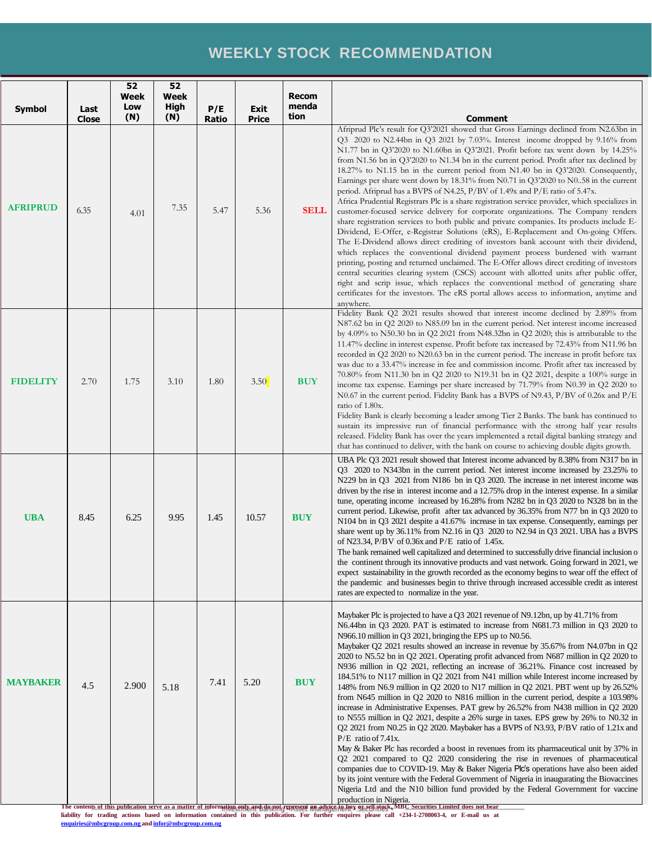#### **WEEKLY STOCK RECOMMENDATION**

| Symbol          | Last                 | 52<br><b>Week</b><br>Low | 52<br><b>Week</b><br>High | P/E           | Exit                 | <b>Recom</b><br>menda<br>tion |                                                                                                                                                                                                                                                                                                                                                                                                                                                                                                                                                                                                                                                                                                                                                                                                                                                                                                                                                                                                                                                                                                                                                                                                                                                                                                                                                                                                                                                                                                                                                                                        |
|-----------------|----------------------|--------------------------|---------------------------|---------------|----------------------|-------------------------------|----------------------------------------------------------------------------------------------------------------------------------------------------------------------------------------------------------------------------------------------------------------------------------------------------------------------------------------------------------------------------------------------------------------------------------------------------------------------------------------------------------------------------------------------------------------------------------------------------------------------------------------------------------------------------------------------------------------------------------------------------------------------------------------------------------------------------------------------------------------------------------------------------------------------------------------------------------------------------------------------------------------------------------------------------------------------------------------------------------------------------------------------------------------------------------------------------------------------------------------------------------------------------------------------------------------------------------------------------------------------------------------------------------------------------------------------------------------------------------------------------------------------------------------------------------------------------------------|
| <b>AFRIPRUD</b> | <b>Close</b><br>6.35 | (N)<br>4.01              | (N)<br>7.35               | Ratio<br>5.47 | <b>Price</b><br>5.36 | <b>SELL</b>                   | <b>Comment</b><br>Afriprud Plc's result for Q3'2021 showed that Gross Earnings declined from N2.63bn in<br>Q3 2020 to N2.44bn in Q3 2021 by 7.03%. Interest income dropped by 9.16% from<br>N1.77 bn in Q3'2020 to N1.60bn in Q3'2021. Profit before tax went down by 14.25%<br>from N1.56 bn in Q3'2020 to N1.34 bn in the current period. Profit after tax declined by<br>18.27% to N1.15 bn in the current period from N1.40 bn in Q3'2020. Consequently,<br>Earnings per share went down by $18.31\%$ from N0.71 in Q3'2020 to N0.58 in the current<br>period. Afriprud has a BVPS of N4.25, P/BV of 1.49x and P/E ratio of 5.47x.<br>Africa Prudential Registrars Plc is a share registration service provider, which specializes in<br>customer-focused service delivery for corporate organizations. The Company renders<br>share registration services to both public and private companies. Its products include E-<br>Dividend, E-Offer, e-Registrar Solutions (eRS), E-Replacement and On-going Offers.<br>The E-Dividend allows direct crediting of investors bank account with their dividend,<br>which replaces the conventional dividend payment process burdened with warrant<br>printing, posting and returned unclaimed. The E-Offer allows direct crediting of investors<br>central securities clearing system (CSCS) account with allotted units after public offer,<br>right and scrip issue, which replaces the conventional method of generating share<br>certificates for the investors. The eRS portal allows access to information, anytime and<br>anywhere. |
| <b>FIDELITY</b> | 2.70                 | 1.75                     | 3.10                      | 1.80          | 3.50                 | <b>BUY</b>                    | Fidelity Bank Q2 2021 results showed that interest income declined by 2.89% from<br>N87.62 bn in Q2 2020 to N85.09 bn in the current period. Net interest income increased<br>by 4.09% to N50.30 bn in Q2 2021 from N48.32bn in Q2 2020; this is attributable to the<br>11.47% decline in interest expense. Profit before tax increased by 72.43% from N11.96 bn<br>recorded in Q2 2020 to N20.63 bn in the current period. The increase in profit before tax<br>was due to a 33.47% increase in fee and commission income. Profit after tax increased by<br>70.80% from N11.30 bn in Q2 2020 to N19.31 bn in Q2 2021, despite a 100% surge in<br>income tax expense. Earnings per share increased by 71.79% from N0.39 in Q2 2020 to<br>N0.67 in the current period. Fidelity Bank has a BVPS of N9.43, P/BV of 0.26x and P/E<br>ratio of 1.80x.<br>Fidelity Bank is clearly becoming a leader among Tier 2 Banks. The bank has continued to<br>sustain its impressive run of financial performance with the strong half year results<br>released. Fidelity Bank has over the years implemented a retail digital banking strategy and<br>that has continued to deliver, with the bank on course to achieving double digits growth.                                                                                                                                                                                                                                                                                                                                                    |
| <b>UBA</b>      | 8.45                 | 6.25                     | 9.95                      | 1.45          | 10.57                | <b>BUY</b>                    | UBA Plc Q3 2021 result showed that Interest income advanced by 8.38% from N317 bn in<br>Q3 2020 to N343bn in the current period. Net interest income increased by 23.25% to<br>N229 bn in Q3 2021 from N186 bn in Q3 2020. The increase in net interest income was<br>driven by the rise in interest income and a 12.75% drop in the interest expense. In a similar<br>tune, operating income increased by 16.28% from N282 bn in Q3 2020 to N328 bn in the<br>current period. Likewise, profit after tax advanced by 36.35% from N77 bn in Q3 2020 to<br>N104 bn in Q3 2021 despite a 41.67% increase in tax expense. Consequently, earnings per<br>share went up by $36.11\%$ from N2.16 in Q3 2020 to N2.94 in Q3 2021. UBA has a BVPS<br>of N23.34, P/BV of 0.36x and $P/E$ ratio of 1.45x.<br>The bank remained well capitalized and determined to successfully drive financial inclusion o<br>the continent through its innovative products and vast network. Going forward in 2021, we<br>expect sustainability in the growth recorded as the economy begins to wear off the effect of<br>the pandemic and businesses begin to thrive through increased accessible credit as interest<br>rates are expected to normalize in the year.                                                                                                                                                                                                                                                                                                                                           |
| <b>MAYBAKER</b> | 4.5                  | 2.900                    | 5.18                      | 7.41          | 5.20                 | <b>BUY</b>                    | Maybaker Plc is projected to have a Q3 2021 revenue of N9.12bn, up by 41.71% from<br>N6.44bn in Q3 2020. PAT is estimated to increase from N681.73 million in Q3 2020 to<br>N966.10 million in Q3 2021, bringing the EPS up to N0.56.<br>Maybaker Q2 2021 results showed an increase in revenue by 35.67% from N4.07bn in Q2<br>2020 to N5.52 bn in Q2 2021. Operating profit advanced from N687 million in Q2 2020 to<br>N936 million in Q2 2021, reflecting an increase of 36.21%. Finance cost increased by<br>184.51% to N117 million in Q2 2021 from N41 million while Interest income increased by<br>148% from N6.9 million in Q2 2020 to N17 million in Q2 2021. PBT went up by 26.52%<br>from N645 million in Q2 2020 to N816 million in the current period, despite a 103.98%<br>increase in Administrative Expenses. PAT grew by 26.52% from N438 million in Q2 2020<br>to N555 million in Q2 2021, despite a 26% surge in taxes. EPS grew by 26% to N0.32 in<br>Q2 2021 from N0.25 in Q2 2020. Maybaker has a BVPS of N3.93, P/BV ratio of 1.21x and<br>$P/E$ ratio of 7.41x.<br>May & Baker Plc has recorded a boost in revenues from its pharmaceutical unit by 37% in<br>Q2 2021 compared to Q2 2020 considering the rise in revenues of pharmaceutical<br>companies due to COVID-19. May & Baker Nigeria Plc's operations have also been aided<br>by its joint venture with the Federal Government of Nigeria in inaugurating the Biovaccines<br>Nigeria Ltd and the N10 billion fund provided by the Federal Government for vaccine<br>production in Nigeria.         |

The conten<u>ts of this publication serve as a matter of information only and do not represent an advice to huy or sell stock. MBC Securities Limited does not bear liability for trading actions based on information contained</u>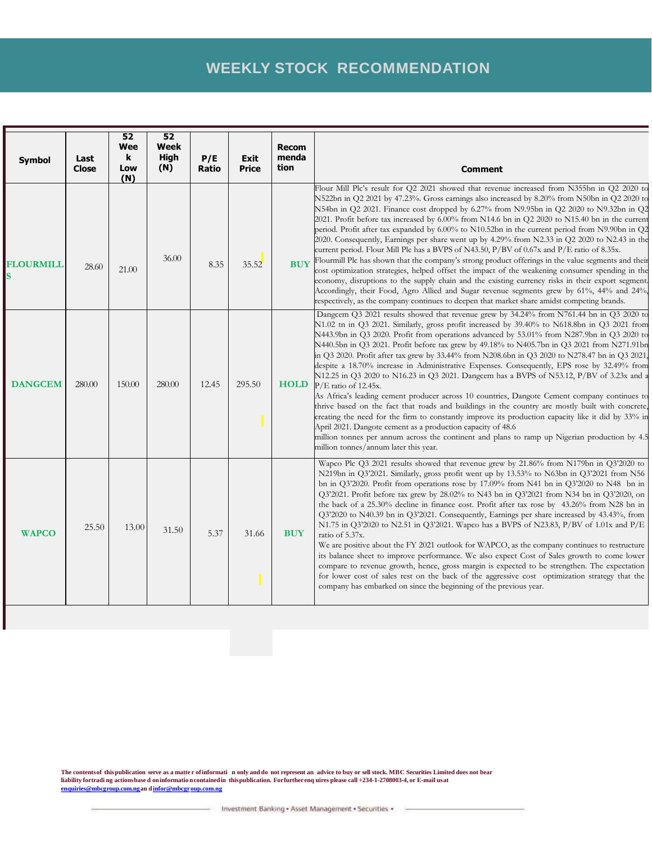### **WEEKLY STOCK RECOMMENDATION**

| <b>Symbol</b>    | Last<br>Close | 52<br>Wee<br>k<br>Low<br>(N) | 52<br>Week<br>High<br>(N) | P/E<br>Ratio | Exit<br><b>Price</b> | <b>Recom</b><br>menda<br>tion | <b>Comment</b>                                                                                                                                                                                                                                                                                                                                                                                                                                                                                                                                                                                                                                                                                                                                                                                                                                                                                                                                                                                                                                                                                                                                                                                                                |
|------------------|---------------|------------------------------|---------------------------|--------------|----------------------|-------------------------------|-------------------------------------------------------------------------------------------------------------------------------------------------------------------------------------------------------------------------------------------------------------------------------------------------------------------------------------------------------------------------------------------------------------------------------------------------------------------------------------------------------------------------------------------------------------------------------------------------------------------------------------------------------------------------------------------------------------------------------------------------------------------------------------------------------------------------------------------------------------------------------------------------------------------------------------------------------------------------------------------------------------------------------------------------------------------------------------------------------------------------------------------------------------------------------------------------------------------------------|
| <b>FLOURMILL</b> | 28.60         | 21.00                        | 36.00                     | 8.35         | 35.52                | <b>BUY</b>                    | Flour Mill Plc's result for Q2 2021 showed that revenue increased from N355bn in Q2 2020 to<br>N522bn in Q2 2021 by 47.23%. Gross earnings also increased by 8.20% from N50bn in Q2 2020 to<br>N54bn in Q2 2021. Finance cost dropped by 6.27% from N9.95bn in Q2 2020 to N9.32bn in Q2<br>2021. Profit before tax increased by 6.00% from N14.6 bn in Q2 2020 to N15.40 bn in the current<br>period. Profit after tax expanded by 6.00% to N10.52bn in the current period from N9.90bn in Q2<br>2020. Consequently, Earnings per share went up by 4.29% from N2.33 in Q2 2020 to N2.43 in the<br>current period. Flour Mill Plc has a BVPS of N43.50, P/BV of 0.67x and P/E ratio of 8.35x.<br>Flourmill Plc has shown that the company's strong product offerings in the value segments and their<br>cost optimization strategies, helped offset the impact of the weakening consumer spending in the<br>economy, disruptions to the supply chain and the existing currency risks in their export segment.<br>Accordingly, their Food, Agro Allied and Sugar revenue segments grew by 61%, 44% and 24%,<br>respectively, as the company continues to deepen that market share amidst competing brands.                      |
| <b>DANGCEM</b>   | 280.00        | 150.00                       | 280.00                    | 12.45        | 295.50               | <b>HOLD</b>                   | Dangcem Q3 2021 results showed that revenue grew by 34.24% from N761.44 bn in Q3 2020 to<br>N1.02 tn in Q3 2021. Similarly, gross profit increased by 39.40% to N618.8bn in Q3 2021 from<br>N443.9bn in Q3 2020. Profit from operations advanced by 53.01% from N287.9bn in Q3 2020 to<br>N440.5bn in Q3 2021. Profit before tax grew by 49.18% to N405.7bn in Q3 2021 from N271.91bn<br>in Q3 2020. Profit after tax grew by 33.44% from N208.6bn in Q3 2020 to N278.47 bn in Q3 2021<br>despite a 18.70% increase in Administrative Expenses. Consequently, EPS rose by 32.49% from<br>N12.25 in Q3 2020 to N16.23 in Q3 2021. Dangcem has a BVPS of N53.12, P/BV of 3.23x and a<br>P/E ratio of 12.45x.<br>As Africa's leading cement producer across 10 countries, Dangote Cement company continues to<br>thrive based on the fact that roads and buildings in the country are mostly built with concrete,<br>creating the need for the firm to constantly improve its production capacity like it did by 33% in<br>April 2021. Dangote cement as a production capacity of 48.6<br>million tonnes per annum across the continent and plans to ramp up Nigerian production by 4.5<br>million tonnes/annum later this year. |
| <b>WAPCO</b>     | 25.50         | 13.00                        | 31.50                     | 5.37         | 31.66                | <b>BUY</b>                    | Wapco Plc Q3 2021 results showed that revenue grew by 21.86% from N179bn in Q3'2020 to<br>N219bn in Q3'2021. Similarly, gross profit went up by 13.53% to N63bn in Q3'2021 from N56<br>bn in Q3'2020. Profit from operations rose by 17.09% from N41 bn in Q3'2020 to N48 bn in<br>Q3'2021. Profit before tax grew by $28.02\%$ to N43 bn in Q3'2021 from N34 bn in Q3'2020, on<br>the back of a 25.30% decline in finance cost. Profit after tax rose by 43.26% from N28 bn in<br>Q3'2020 to N40.39 bn in Q3'2021. Consequently, Earnings per share increased by 43.43%, from<br>N1.75 in Q3'2020 to N2.51 in Q3'2021. Wapco has a BVPS of N23.83, P/BV of 1.01x and P/E<br>ratio of 5.37x.<br>We are positive about the FY 2021 outlook for WAPCO, as the company continues to restructure<br>its balance sheet to improve performance. We also expect Cost of Sales growth to come lower<br>compare to revenue growth, hence, gross margin is expected to be strengthen. The expectation<br>for lower cost of sales rest on the back of the aggressive cost optimization strategy that the<br>company has embarked on since the beginning of the previous year.                                                            |

The contentsof thispublication serve as a matter of informati nonly and do not represent an advice to buy or sell stock. MBC Securities Limited does not bear<br>liability fortrading actionsbase don information contained in th **[en](mailto:enquiries@mbcgroup.com.ng) [quiries@mbcg](mailto:enquiries@mbcgroup.com.ng) [roup.com.nga](mailto:enquiries@mbcgroup.com.ng)n d[infor@mbcgr](mailto:infor@mbcgroup.com.ng) [oup.com.ng](mailto:infor@mbcgroup.com.ng)**

- Investment Banking - Asset Management - Securities -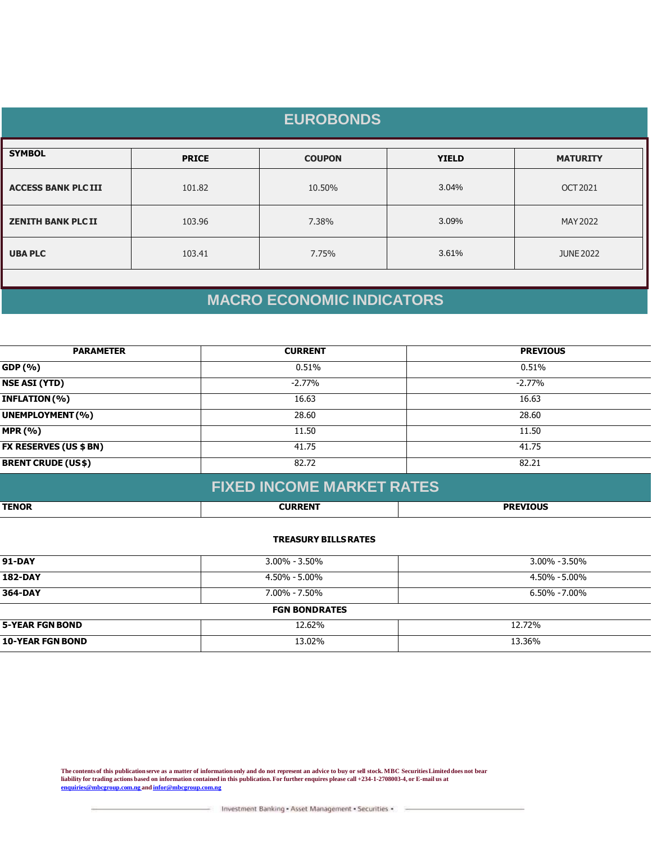| <b>EUROBONDS</b>           |              |               |              |                  |  |
|----------------------------|--------------|---------------|--------------|------------------|--|
| <b>SYMBOL</b>              | <b>PRICE</b> | <b>COUPON</b> | <b>YIELD</b> | <b>MATURITY</b>  |  |
| <b>ACCESS BANK PLC III</b> | 101.82       | 10.50%        | 3.04%        | OCT 2021         |  |
| <b>ZENITH BANK PLC II</b>  | 103.96       | 7.38%         | 3.09%        | MAY 2022         |  |
| <b>UBA PLC</b>             | 103.41       | 7.75%         | 3.61%        | <b>JUNE 2022</b> |  |
|                            |              |               |              |                  |  |

# **MACRO ECONOMIC INDICATORS**

| GDP (%)<br>0.51%<br>0.51%<br><b>NSE ASI (YTD)</b><br>$-2.77\%$<br>$-2.77%$<br>INFLATION (%)<br>16.63<br>16.63<br>UNEMPLOYMENT (%)<br>28.60<br>28.60<br><b>MPR (%)</b><br>11.50<br>11.50 | <b>PARAMETER</b>              | <b>CURRENT</b> | <b>PREVIOUS</b> |
|-----------------------------------------------------------------------------------------------------------------------------------------------------------------------------------------|-------------------------------|----------------|-----------------|
|                                                                                                                                                                                         |                               |                |                 |
|                                                                                                                                                                                         |                               |                |                 |
|                                                                                                                                                                                         |                               |                |                 |
|                                                                                                                                                                                         |                               |                |                 |
|                                                                                                                                                                                         |                               |                |                 |
|                                                                                                                                                                                         | <b>FX RESERVES (US \$ BN)</b> | 41.75          | 41.75           |
| <b>BRENT CRUDE (US\$)</b><br>82.72<br>82.21                                                                                                                                             |                               |                |                 |

#### **FIXED INCOME MARKET RATES**

| TENOR | <b>CURRENT</b><br>.EN | <b>DDEVIOUS</b> |
|-------|-----------------------|-----------------|
|       |                       |                 |

#### **TREASURY BILLSRATES**

| 91-DAY                  | $3.00\% - 3.50\%$    | 3.00% -3.50%      |
|-------------------------|----------------------|-------------------|
| <b>182-DAY</b>          | 4.50% - 5.00%        | 4.50% - 5.00%     |
| 364-DAY                 | $7.00\% - 7.50\%$    | $6.50\% - 7.00\%$ |
|                         | <b>FGN BONDRATES</b> |                   |
| <b>5-YEAR FGN BOND</b>  | 12.62%               | 12.72%            |
| <b>10-YEAR FGN BOND</b> | 13.02%               | 13.36%            |

The contents of this publication serve as a matter of information only and do not represent an advice to buy or sell stock. MBC Securities Limited does not bear **liability for trading actions based on information contained in this publication. For further enquires please call +234-1-2708003-4, or E-mail us at [enquiries@mbcgroup.com.ng](mailto:enquiries@mbcgroup.com.ng) and [infor@mbcgroup.com.ng](mailto:infor@mbcgroup.com.ng)**

Investment Banking - Asset Management - Securities -